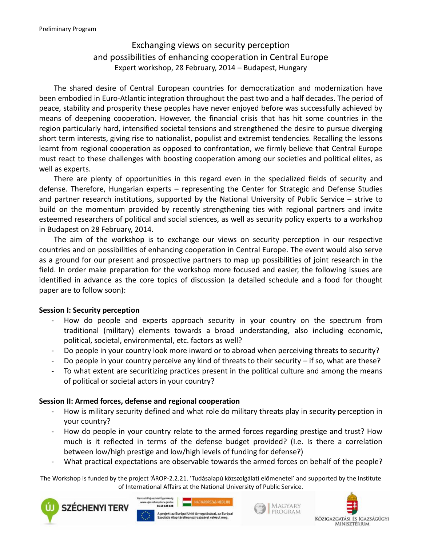# Exchanging views on security perception and possibilities of enhancing cooperation in Central Europe Expert workshop, 28 February, 2014 – Budapest, Hungary

The shared desire of Central European countries for democratization and modernization have been embodied in Euro-Atlantic integration throughout the past two and a half decades. The period of peace, stability and prosperity these peoples have never enjoyed before was successfully achieved by means of deepening cooperation. However, the financial crisis that has hit some countries in the region particularly hard, intensified societal tensions and strengthened the desire to pursue diverging short term interests, giving rise to nationalist, populist and extremist tendencies. Recalling the lessons learnt from regional cooperation as opposed to confrontation, we firmly believe that Central Europe must react to these challenges with boosting cooperation among our societies and political elites, as well as experts.

There are plenty of opportunities in this regard even in the specialized fields of security and defense. Therefore, Hungarian experts – representing the Center for Strategic and Defense Studies and partner research institutions, supported by the National University of Public Service – strive to build on the momentum provided by recently strengthening ties with regional partners and invite esteemed researchers of political and social sciences, as well as security policy experts to a workshop in Budapest on 28 February, 2014.

The aim of the workshop is to exchange our views on security perception in our respective countries and on possibilities of enhancing cooperation in Central Europe. The event would also serve as a ground for our present and prospective partners to map up possibilities of joint research in the field. In order make preparation for the workshop more focused and easier, the following issues are identified in advance as the core topics of discussion (a detailed schedule and a food for thought paper are to follow soon):

### **Session I: Security perception**

- How do people and experts approach security in your country on the spectrum from traditional (military) elements towards a broad understanding, also including economic, political, societal, environmental, etc. factors as well?
- Do people in your country look more inward or to abroad when perceiving threats to security?
- Do people in your country perceive any kind of threats to their security if so, what are these?
- To what extent are securitizing practices present in the political culture and among the means of political or societal actors in your country?

## **Session II: Armed forces, defense and regional cooperation**

- How is military security defined and what role do military threats play in security perception in your country?
- How do people in your country relate to the armed forces regarding prestige and trust? How much is it reflected in terms of the defense budget provided? (I.e. Is there a correlation between low/high prestige and low/high levels of funding for defense?)
- What practical expectations are observable towards the armed forces on behalf of the people?

The Workshop is funded by the project 'ÁROP-2.2.21. 'Tudásalapú közszolgálati előmenetel' and supported by the Institute of International Affairs at the National University of Public Service.







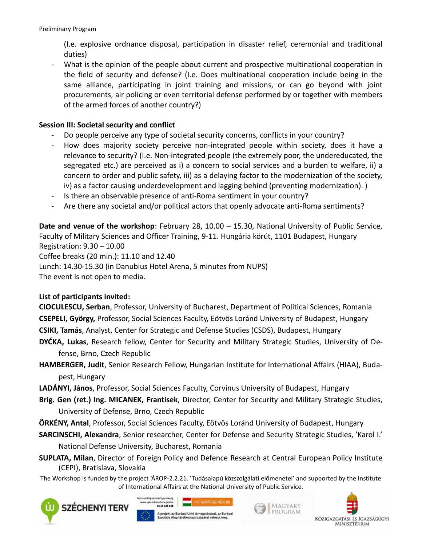(I.e. explosive ordnance disposal, participation in disaster relief, ceremonial and traditional duties)

- What is the opinion of the people about current and prospective multinational cooperation in the field of security and defense? (I.e. Does multinational cooperation include being in the same alliance, participating in joint training and missions, or can go beyond with joint procurements, air policing or even territorial defense performed by or together with members of the armed forces of another country?)

## **Session III: Societal security and conflict**

- Do people perceive any type of societal security concerns, conflicts in your country?
- How does majority society perceive non-integrated people within society, does it have a relevance to security? (I.e. Non-integrated people (the extremely poor, the undereducated, the segregated etc.) are perceived as i) a concern to social services and a burden to welfare, ii) a concern to order and public safety, iii) as a delaying factor to the modernization of the society, iv) as a factor causing underdevelopment and lagging behind (preventing modernization). )
- Is there an observable presence of anti-Roma sentiment in your country?
- Are there any societal and/or political actors that openly advocate anti-Roma sentiments?

**Date and venue of the workshop**: February 28, 10.00 – 15.30, National University of Public Service, Faculty of Military Sciences and Officer Training, 9-11. Hungária körút, 1101 Budapest, Hungary Registration: 9.30 – 10.00 Coffee breaks (20 min.): 11.10 and 12.40 Lunch: 14.30-15.30 (in Danubius Hotel Arena, 5 minutes from NUPS) The event is not open to media.

### **List of participants invited:**

**CIOCULESCU, Serban**, Professor, University of Bucharest, Department of Political Sciences, Romania **CSEPELI, György,** Professor, Social Sciences Faculty, Eötvös Loránd University of Budapest, Hungary **CSIKI, Tamás**, Analyst, Center for Strategic and Defense Studies (CSDS), Budapest, Hungary

- **DYĆKA, Lukas**, Research fellow, Center for Security and Military Strategic Studies, University of Defense, Brno, Czech Republic
- **HAMBERGER, Judit**, Senior Research Fellow, Hungarian Institute for International Affairs (HIAA), Budapest, Hungary
- **LADÁNYI, János**, Professor, Social Sciences Faculty, Corvinus University of Budapest, Hungary
- **Brig. Gen (ret.) Ing. MICANEK, Frantisek**, Director, Center for Security and Military Strategic Studies, University of Defense, Brno, Czech Republic
- **ÖRKÉNY, Antal**, Professor, Social Sciences Faculty, Eötvös Loránd University of Budapest, Hungary
- **SARCINSCHI, Alexandra**, Senior researcher, Center for Defense and Security Strategic Studies, 'Karol I.' National Defense University, Bucharest, Romania
- **SUPLATA, Milan**, Director of Foreign Policy and Defence Research at Central European Policy Institute (CEPI), Bratislava, Slovakia
- The Workshop is funded by the project 'ÁROP-2.2.21. 'Tudásalapú közszolgálati előmenetel' and supported by the Institute of International Affairs at the National University of Public Service.